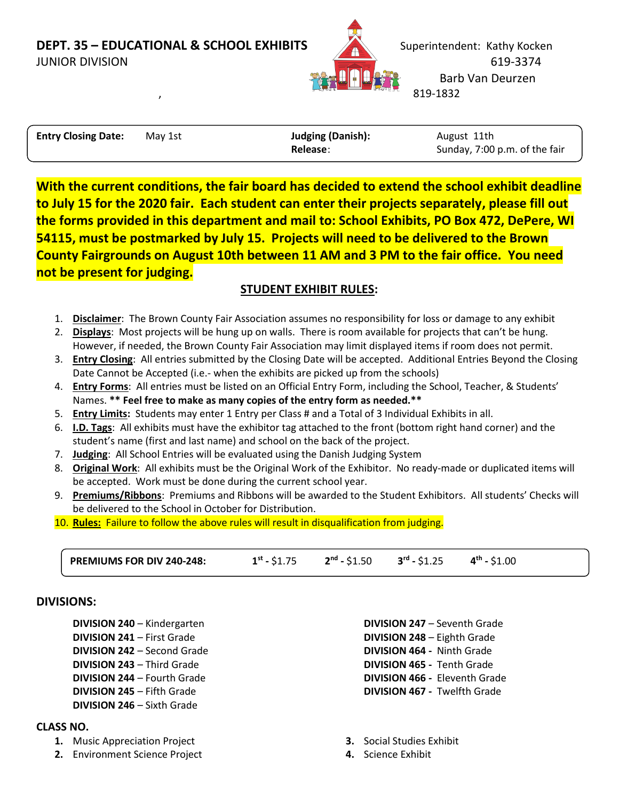

| <b>Entry Closing Date:</b> | May 1st | <b>Judging (Danish):</b> | August 11th                   |
|----------------------------|---------|--------------------------|-------------------------------|
|                            |         | Release:                 | Sunday, 7:00 p.m. of the fair |

**With the current conditions, the fair board has decided to extend the school exhibit deadline to July 15 for the 2020 fair. Each student can enter their projects separately, please fill out the forms provided in this department and mail to: School Exhibits, PO Box 472, DePere, WI 54115, must be postmarked by July 15. Projects will need to be delivered to the Brown County Fairgrounds on August 10th between 11 AM and 3 PM to the fair office. You need not be present for judging.**

## **STUDENT EXHIBIT RULES:**

- 1. **Disclaimer**: The Brown County Fair Association assumes no responsibility for loss or damage to any exhibit
- 2. **Displays**: Most projects will be hung up on walls. There is room available for projects that can't be hung. However, if needed, the Brown County Fair Association may limit displayed items if room does not permit.
- 3. **Entry Closing**: All entries submitted by the Closing Date will be accepted. Additional Entries Beyond the Closing Date Cannot be Accepted (i.e.- when the exhibits are picked up from the schools)
- 4. **Entry Forms**: All entries must be listed on an Official Entry Form, including the School, Teacher, & Students' Names. **\*\* Feel free to make as many copies of the entry form as needed.\*\***
- 5. **Entry Limits:** Students may enter 1 Entry per Class # and a Total of 3 Individual Exhibits in all.
- 6. **I.D. Tags**: All exhibits must have the exhibitor tag attached to the front (bottom right hand corner) and the student's name (first and last name) and school on the back of the project.
- 7. **Judging**: All School Entries will be evaluated using the Danish Judging System
- 8. **Original Work**: All exhibits must be the Original Work of the Exhibitor. No ready-made or duplicated items will be accepted. Work must be done during the current school year.
- 9. **Premiums/Ribbons**: Premiums and Ribbons will be awarded to the Student Exhibitors. All students' Checks will be delivered to the School in October for Distribution.
- 10. **Rules:** Failure to follow the above rules will result in disqualification from judging.

| <b>PREMIUMS FOR DIV 240-248:</b> | $1^{st}$ - \$1.75 | $2^{\text{nd}}$ - \$1.50 | $3^{\text{rd}}$ - \$1.25 | $4^{th}$ - \$1.00 |
|----------------------------------|-------------------|--------------------------|--------------------------|-------------------|
|                                  |                   |                          |                          |                   |

### **DIVISIONS:**

- **DIVISION 240** Kindergarten **DIVISION 241** – First Grade
- **DIVISION 242** Second Grade **DIVISION 243** – Third Grade **DIVISION 244** – Fourth Grade **DIVISION 245** – Fifth Grade **DIVISION 246** – Sixth Grade

### **CLASS NO.**

- **1.** Music Appreciation Project
- **2.** Environment Science Project
- **DIVISION 247** Seventh Grade **DIVISION 248** – Eighth Grade **DIVISION 464 -** Ninth Grade **DIVISION 465 -** Tenth Grade **DIVISION 466 -** Eleventh Grade **DIVISION 467 -** Twelfth Grade
- **3.** Social Studies Exhibit
- **4.** Science Exhibit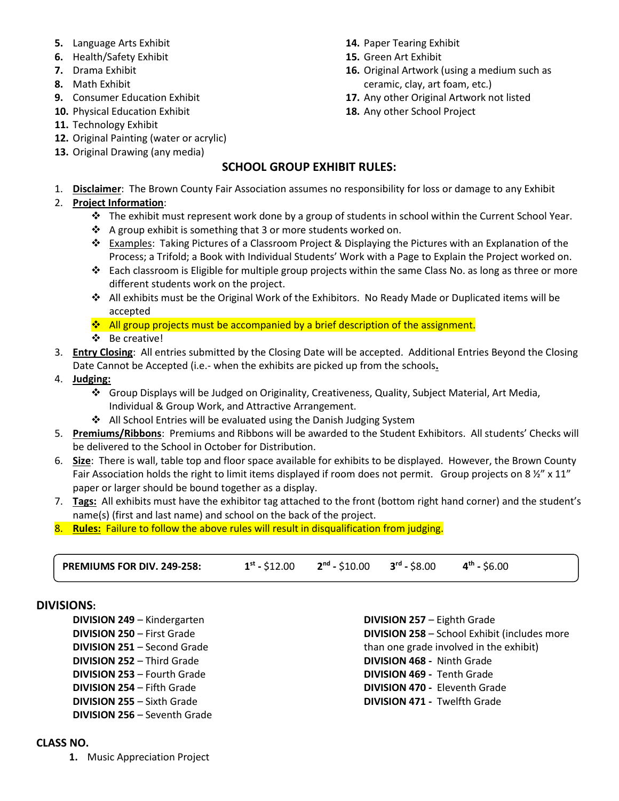- **5.** Language Arts Exhibit
- **6.** Health/Safety Exhibit
- **7.** Drama Exhibit
- **8.** Math Exhibit
- **9.** Consumer Education Exhibit
- **10.** Physical Education Exhibit
- **11.** Technology Exhibit
- **12.** Original Painting (water or acrylic)
- **13.** Original Drawing (any media)
- **14.** Paper Tearing Exhibit
- **15.** Green Art Exhibit
- **16.** Original Artwork (using a medium such as ceramic, clay, art foam, etc.)
- **17.** Any other Original Artwork not listed
- **18.** Any other School Project

### **SCHOOL GROUP EXHIBIT RULES:**

1. **Disclaimer**: The Brown County Fair Association assumes no responsibility for loss or damage to any Exhibit

### 2. **Project Information**:

- ❖ The exhibit must represent work done by a group of students in school within the Current School Year.
- ❖ A group exhibit is something that 3 or more students worked on.
- ❖ Examples: Taking Pictures of a Classroom Project & Displaying the Pictures with an Explanation of the Process; a Trifold; a Book with Individual Students' Work with a Page to Explain the Project worked on.
- ❖ Each classroom is Eligible for multiple group projects within the same Class No. as long as three or more different students work on the project.
- ❖ All exhibits must be the Original Work of the Exhibitors. No Ready Made or Duplicated items will be accepted

 $\cdot$  All group projects must be accompanied by a brief description of the assignment.

- ❖ Be creative!
- 3. **Entry Closing**: All entries submitted by the Closing Date will be accepted. Additional Entries Beyond the Closing Date Cannot be Accepted (i.e.- when the exhibits are picked up from the schools**.**
- 4. **Judging:**
	- ❖ Group Displays will be Judged on Originality, Creativeness, Quality, Subject Material, Art Media, Individual & Group Work, and Attractive Arrangement.
	- ❖ All School Entries will be evaluated using the Danish Judging System
- 5. **Premiums/Ribbons**: Premiums and Ribbons will be awarded to the Student Exhibitors. All students' Checks will be delivered to the School in October for Distribution.
- 6. **Size**: There is wall, table top and floor space available for exhibits to be displayed. However, the Brown County Fair Association holds the right to limit items displayed if room does not permit. Group projects on 8  $\frac{1}{2}$ " x 11" paper or larger should be bound together as a display.
- 7. **Tags:** All exhibits must have the exhibitor tag attached to the front (bottom right hand corner) and the student's name(s) (first and last name) and school on the back of the project.
- 8. **Rules:** Failure to follow the above rules will result in disqualification from judging.

**PREMIUMS FOR DIV. 249-258: 1 st -** \$12.00 **2 nd -** \$10.00 **3 rd -** \$8.00 **4 th -** \$6.00

#### **DIVISIONS:**

- **DIVISION 249** Kindergarten
- **DIVISION 250** First Grade **DIVISION 251** – Second Grade **DIVISION 252** – Third Grade **DIVISION 253** – Fourth Grade **DIVISION 254** – Fifth Grade **DIVISION 255** – Sixth Grade **DIVISION 256** – Seventh Grade

**DIVISION 258** – School Exhibit (includes more than one grade involved in the exhibit) **DIVISION 468 -** Ninth Grade **DIVISION 469 -** Tenth Grade **DIVISION 470 -** Eleventh Grade **DIVISION 471 -** Twelfth Grade

**DIVISION 257** – Eighth Grade

### **CLASS NO.**

**1.** Music Appreciation Project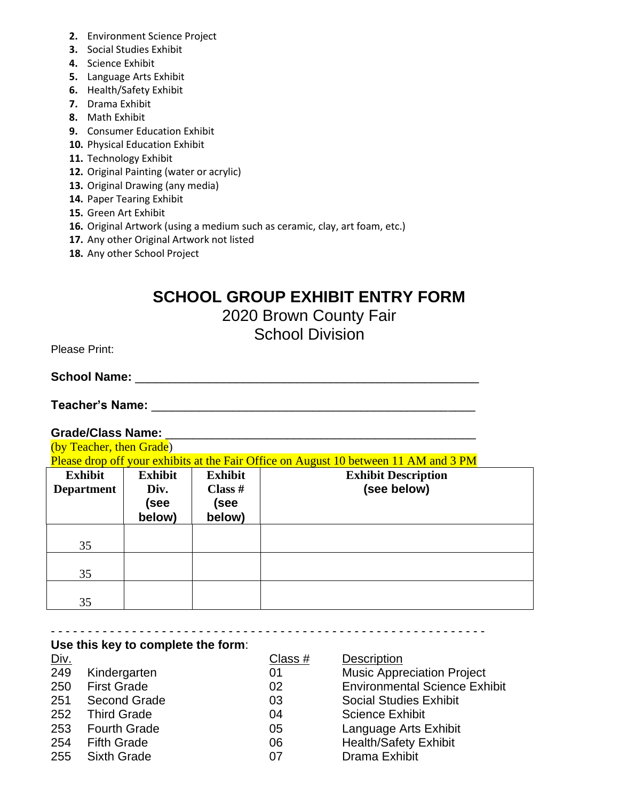- **2.** Environment Science Project
- **3.** Social Studies Exhibit
- **4.** Science Exhibit
- **5.** Language Arts Exhibit
- **6.** Health/Safety Exhibit
- **7.** Drama Exhibit
- **8.** Math Exhibit
- **9.** Consumer Education Exhibit
- **10.** Physical Education Exhibit
- **11.** Technology Exhibit
- **12.** Original Painting (water or acrylic)
- **13.** Original Drawing (any media)
- **14.** Paper Tearing Exhibit
- **15.** Green Art Exhibit
- **16.** Original Artwork (using a medium such as ceramic, clay, art foam, etc.)
- **17.** Any other Original Artwork not listed
- **18.** Any other School Project

# **SCHOOL GROUP EXHIBIT ENTRY FORM**

# 2020 Brown County Fair

School Division

Please Print:

# **School Name:** \_\_\_\_\_\_\_\_\_\_\_\_\_\_\_\_\_\_\_\_\_\_\_\_\_\_\_\_\_\_\_\_\_\_\_\_\_\_\_\_\_\_\_\_\_\_\_\_\_\_\_

**Teacher's Name:** \_\_\_\_\_\_\_\_\_\_\_\_\_\_\_\_\_\_\_\_\_\_\_\_\_\_\_\_\_\_\_\_\_\_\_\_\_\_\_\_\_\_\_\_\_\_\_\_

**Use this key to complete the form**:

## **Grade/Class Name:** \_\_\_\_\_\_\_\_\_\_\_\_\_\_\_\_\_\_\_\_\_\_\_\_\_\_\_\_\_\_\_\_\_\_\_\_\_\_\_\_\_\_\_\_\_\_

(by Teacher, then Grade) Please drop off your exhibits at the Fair Office on August 10 between 11 AM and 3 PM **Exhibit Department Exhibit Div. Exhibit Class # Exhibit Description (see below)**

| Department | LUV.<br>(see<br>below) | $\mathbf{u}$ <sub>as</sub> $\pi$<br>(see<br>below) | <b>A</b> |
|------------|------------------------|----------------------------------------------------|----------|
| 35         |                        |                                                    |          |
| 35         |                        |                                                    |          |
| 35         |                        |                                                    |          |

#### - - - - - - - - - - - - - - - - - - - - - - - - - - - - - - - - - - - - - - - - - - - - - - - - - - - - - - - - - - -

| <u>Div.</u> |                     | Class $#$ | <b>Description</b>                   |
|-------------|---------------------|-----------|--------------------------------------|
| 249         | Kindergarten        | 01        | <b>Music Appreciation Project</b>    |
| 250         | <b>First Grade</b>  | 02        | <b>Environmental Science Exhibit</b> |
| 251         | <b>Second Grade</b> | 03        | <b>Social Studies Exhibit</b>        |
|             | 252 Third Grade     | 04        | <b>Science Exhibit</b>               |
| 253         | <b>Fourth Grade</b> | 05        | Language Arts Exhibit                |
|             | 254 Fifth Grade     | 06        | <b>Health/Safety Exhibit</b>         |
| 255         | Sixth Grade         | 07        | Drama Exhibit                        |
|             |                     |           |                                      |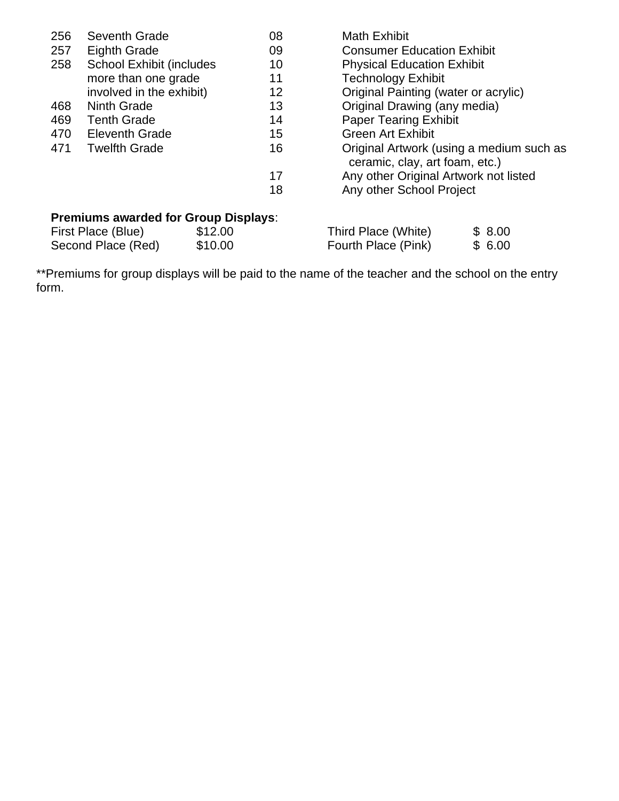| 256 | Seventh Grade                                                                                                      | 08 | <b>Math Exhibit</b>                   |                                                                            |  |
|-----|--------------------------------------------------------------------------------------------------------------------|----|---------------------------------------|----------------------------------------------------------------------------|--|
| 257 | <b>Eighth Grade</b>                                                                                                | 09 | <b>Consumer Education Exhibit</b>     |                                                                            |  |
| 258 | <b>School Exhibit (includes)</b>                                                                                   | 10 | <b>Physical Education Exhibit</b>     |                                                                            |  |
|     | more than one grade                                                                                                | 11 | <b>Technology Exhibit</b>             |                                                                            |  |
|     | involved in the exhibit)                                                                                           | 12 | Original Painting (water or acrylic)  |                                                                            |  |
| 468 | <b>Ninth Grade</b>                                                                                                 | 13 | Original Drawing (any media)          |                                                                            |  |
| 469 | <b>Tenth Grade</b>                                                                                                 | 14 | <b>Paper Tearing Exhibit</b>          |                                                                            |  |
| 470 | <b>Eleventh Grade</b>                                                                                              | 15 | <b>Green Art Exhibit</b>              |                                                                            |  |
| 471 | <b>Twelfth Grade</b>                                                                                               | 16 |                                       | Original Artwork (using a medium such as<br>ceramic, clay, art foam, etc.) |  |
|     |                                                                                                                    | 17 | Any other Original Artwork not listed |                                                                            |  |
|     |                                                                                                                    | 18 | Any other School Project              |                                                                            |  |
|     | <b>Premiums awarded for Group Displays:</b><br>First Dloco (Blue)<br><b>C12 00</b><br>Third Dloco (White)<br>© ຂ∩∩ |    |                                       |                                                                            |  |

First Place (Blue) \$12.00<br>Second Place (Red) \$10.00 Second Place (Red) Third Place (White) \$ 8.00 Fourth Place (Pink) \$ 6.00

\*\*Premiums for group displays will be paid to the name of the teacher and the school on the entry form.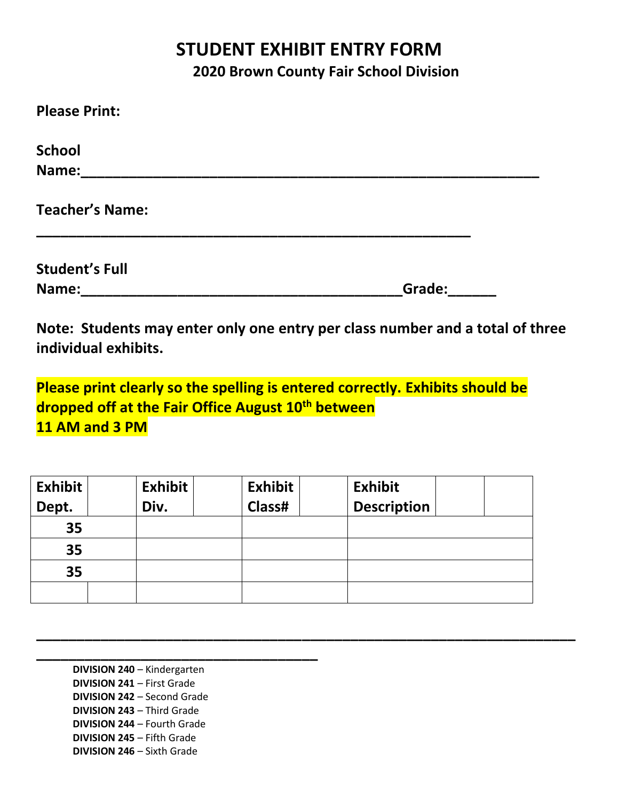# **STUDENT EXHIBIT ENTRY FORM 2020 Brown County Fair School Division**

| Grade: |
|--------|
|        |

**Note: Students may enter only one entry per class number and a total of three individual exhibits.**

**Please print clearly so the spelling is entered correctly. Exhibits should be dropped off at the Fair Office August 10th between 11 AM and 3 PM**

| <b>Exhibit</b> | <b>Exhibit</b> | <b>Exhibit</b> | <b>Exhibit</b>     |  |
|----------------|----------------|----------------|--------------------|--|
| Dept.          | Div.           | Class#         | <b>Description</b> |  |
| 35             |                |                |                    |  |
| 35             |                |                |                    |  |
| 35             |                |                |                    |  |
|                |                |                |                    |  |

**\_\_\_\_\_\_\_\_\_\_\_\_\_\_\_\_\_\_\_\_\_\_\_\_\_\_\_\_\_\_\_\_\_\_\_\_\_\_\_\_\_\_\_\_\_\_\_\_\_\_\_\_\_\_\_\_\_\_\_\_\_\_\_\_\_\_\_**

**\_\_\_\_\_\_\_\_\_\_\_\_\_\_\_\_\_\_\_\_\_\_\_\_\_\_\_\_\_\_\_\_\_\_\_ DIVISION 240** – Kindergarten **DIVISION 241** – First Grade **DIVISION 242** – Second Grade **DIVISION 243** – Third Grade **DIVISION 244** – Fourth Grade **DIVISION 245** – Fifth Grade **DIVISION 246** – Sixth Grade